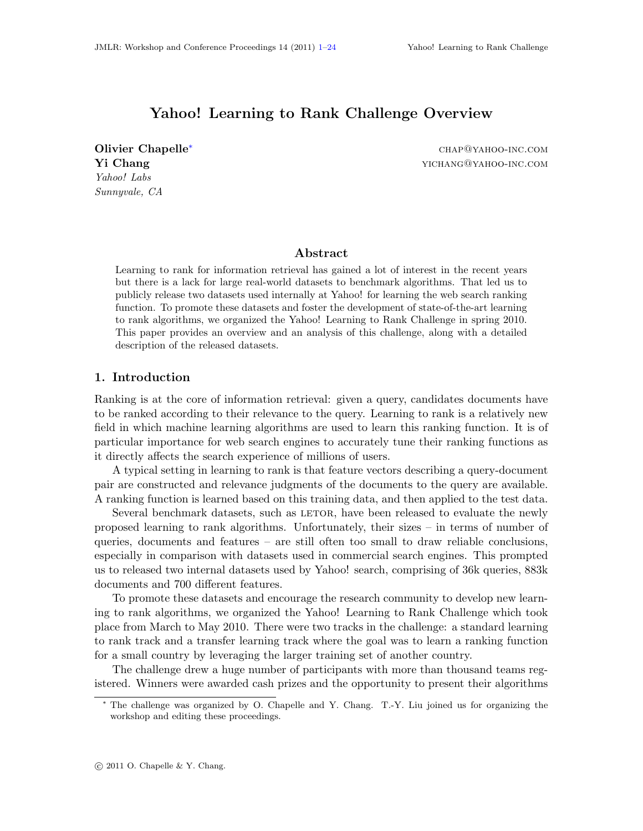# Yahoo! Learning to Rank Challenge Overview

<span id="page-0-0"></span>Olivier Chapelle[∗](#page-0-1) chap@yahoo-inc.com Yahoo! Labs Sunnyvale, CA

Yi Chang yichang yichang yichang yichang yichang yichang yichang yichang yichang yichang yichang yichang yichang yichang yichang yichang yichang yichang yichang yichang yichang yichang yichang yichang yichang yichang yicha

# Abstract

Learning to rank for information retrieval has gained a lot of interest in the recent years but there is a lack for large real-world datasets to benchmark algorithms. That led us to publicly release two datasets used internally at Yahoo! for learning the web search ranking function. To promote these datasets and foster the development of state-of-the-art learning to rank algorithms, we organized the Yahoo! Learning to Rank Challenge in spring 2010. This paper provides an overview and an analysis of this challenge, along with a detailed description of the released datasets.

## 1. Introduction

Ranking is at the core of information retrieval: given a query, candidates documents have to be ranked according to their relevance to the query. Learning to rank is a relatively new field in which machine learning algorithms are used to learn this ranking function. It is of particular importance for web search engines to accurately tune their ranking functions as it directly affects the search experience of millions of users.

A typical setting in learning to rank is that feature vectors describing a query-document pair are constructed and relevance judgments of the documents to the query are available. A ranking function is learned based on this training data, and then applied to the test data.

Several benchmark datasets, such as LETOR, have been released to evaluate the newly proposed learning to rank algorithms. Unfortunately, their sizes – in terms of number of queries, documents and features – are still often too small to draw reliable conclusions, especially in comparison with datasets used in commercial search engines. This prompted us to released two internal datasets used by Yahoo! search, comprising of 36k queries, 883k documents and 700 different features.

To promote these datasets and encourage the research community to develop new learning to rank algorithms, we organized the Yahoo! Learning to Rank Challenge which took place from March to May 2010. There were two tracks in the challenge: a standard learning to rank track and a transfer learning track where the goal was to learn a ranking function for a small country by leveraging the larger training set of another country.

The challenge drew a huge number of participants with more than thousand teams registered. Winners were awarded cash prizes and the opportunity to present their algorithms

<span id="page-0-1"></span><sup>∗</sup> The challenge was organized by O. Chapelle and Y. Chang. T.-Y. Liu joined us for organizing the workshop and editing these proceedings.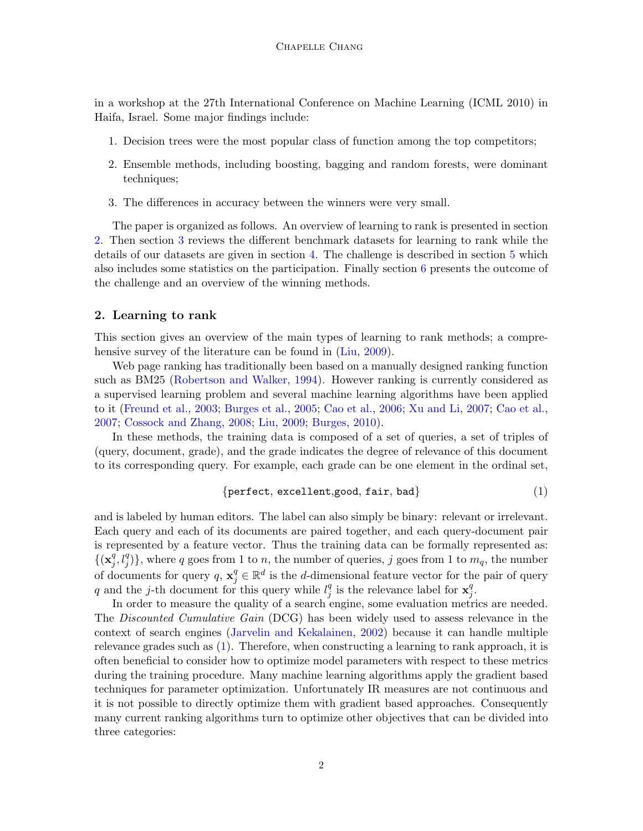in a workshop at the 27th International Conference on Machine Learning (ICML 2010) in Haifa, Israel. Some major findings include:

- 1. Decision trees were the most popular class of function among the top competitors;
- 2. Ensemble methods, including boosting, bagging and random forests, were dominant techniques;
- 3. The differences in accuracy between the winners were very small.

The paper is organized as follows. An overview of learning to rank is presented in section [2.](#page-1-0) Then section [3](#page-2-0) reviews the different benchmark datasets for learning to rank while the details of our datasets are given in section [4.](#page-3-0) The challenge is described in section [5](#page-9-0) which also includes some statistics on the participation. Finally section [6](#page-16-0) presents the outcome of the challenge and an overview of the winning methods.

#### <span id="page-1-0"></span>2. Learning to rank

This section gives an overview of the main types of learning to rank methods; a compre-hensive survey of the literature can be found in [\(Liu,](#page-22-0) [2009\)](#page-22-0).

Web page ranking has traditionally been based on a manually designed ranking function such as BM25 [\(Robertson and Walker,](#page-23-1) [1994\)](#page-23-1). However ranking is currently considered as a supervised learning problem and several machine learning algorithms have been applied to it [\(Freund et al.,](#page-21-0) [2003;](#page-21-0) [Burges et al.,](#page-20-0) [2005;](#page-20-0) [Cao et al.,](#page-20-1) [2006;](#page-20-1) [Xu and Li,](#page-23-2) [2007;](#page-23-2) [Cao et al.,](#page-20-2) [2007;](#page-20-2) [Cossock and Zhang,](#page-21-1) [2008;](#page-21-1) [Liu,](#page-22-0) [2009;](#page-22-0) [Burges,](#page-20-3) [2010\)](#page-20-3).

In these methods, the training data is composed of a set of queries, a set of triples of (query, document, grade), and the grade indicates the degree of relevance of this document to its corresponding query. For example, each grade can be one element in the ordinal set,

<span id="page-1-1"></span>
$$
{\rm perfect, excellent, good, fair, bad} \hspace{1.5cm} (1)
$$

and is labeled by human editors. The label can also simply be binary: relevant or irrelevant. Each query and each of its documents are paired together, and each query-document pair is represented by a feature vector. Thus the training data can be formally represented as:  $\{(\mathbf{x}_i^q)$  $\{q^q, l^q_j\}$ , where q goes from 1 to n, the number of queries, j goes from 1 to  $m_q$ , the number of documents for query  $q, x_j^q \in \mathbb{R}^d$  is the d-dimensional feature vector for the pair of query q and the j-th document for this query while  $l_i^q$  $_j^q$  is the relevance label for  $\mathbf{x}_j^q$ j .

In order to measure the quality of a search engine, some evaluation metrics are needed. The Discounted Cumulative Gain (DCG) has been widely used to assess relevance in the context of search engines [\(Jarvelin and Kekalainen,](#page-22-1) [2002\)](#page-22-1) because it can handle multiple relevance grades such as [\(1\)](#page-1-1). Therefore, when constructing a learning to rank approach, it is often beneficial to consider how to optimize model parameters with respect to these metrics during the training procedure. Many machine learning algorithms apply the gradient based techniques for parameter optimization. Unfortunately IR measures are not continuous and it is not possible to directly optimize them with gradient based approaches. Consequently many current ranking algorithms turn to optimize other objectives that can be divided into three categories: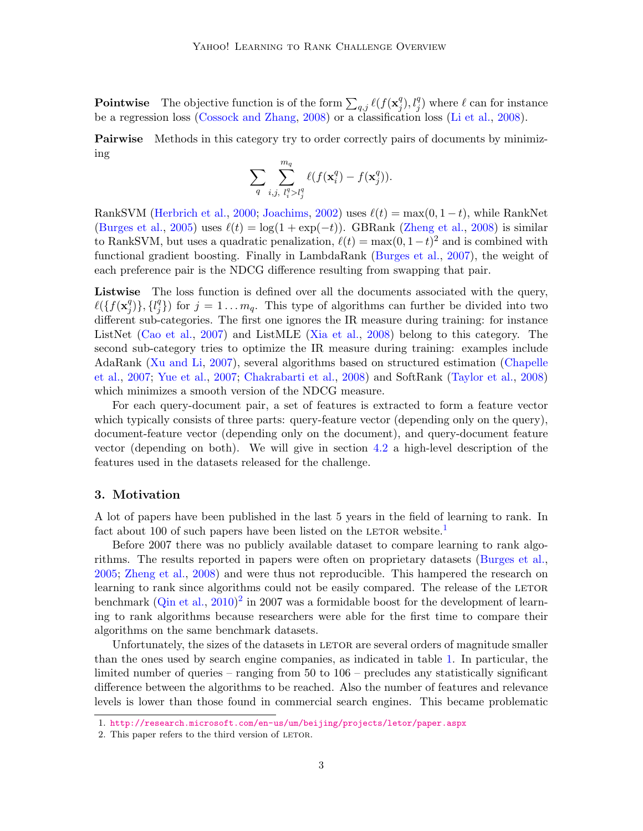**Pointwise** The objective function is of the form  $\sum_{q,j} \ell(f(\mathbf{x}_j^q))$  $\mathcal{L}_j^{q}$ ,  $l_j^{q}$ ) where  $\ell$  can for instance be a regression loss [\(Cossock and Zhang,](#page-21-1) [2008\)](#page-21-1) or a classification loss [\(Li et al.,](#page-22-2) [2008\)](#page-22-2).

**Pairwise** Methods in this category try to order correctly pairs of documents by minimizing

$$
\sum_q \sum_{i,j,\ l_i^q>l_j^q}^{m_q} \ell(f(\mathbf{x}_i^q)-f(\mathbf{x}_j^q)).
$$

RankSVM [\(Herbrich et al.,](#page-22-3) [2000;](#page-22-3) [Joachims,](#page-22-4) [2002\)](#page-22-4) uses  $\ell(t) = \max(0, 1 - t)$ , while RankNet [\(Burges et al.,](#page-20-0) [2005\)](#page-20-0) uses  $\ell(t) = \log(1 + \exp(-t))$ . GBRank [\(Zheng et al.,](#page-23-3) [2008\)](#page-23-3) is similar to RankSVM, but uses a quadratic penalization,  $\ell(t) = \max(0, 1-t)^2$  and is combined with functional gradient boosting. Finally in LambdaRank [\(Burges et al.,](#page-20-4) [2007\)](#page-20-4), the weight of each preference pair is the NDCG difference resulting from swapping that pair.

Listwise The loss function is defined over all the documents associated with the query,  $\ell({f}(\mathbf{x}_i^q))$  $_{j}^{q})\},\{l_{j}^{q}$  $j \choose j$  for  $j = 1 \ldots m_q$ . This type of algorithms can further be divided into two different sub-categories. The first one ignores the IR measure during training: for instance ListNet [\(Cao et al.,](#page-20-2) [2007\)](#page-20-2) and ListMLE [\(Xia et al.,](#page-23-4) [2008\)](#page-23-4) belong to this category. The second sub-category tries to optimize the IR measure during training: examples include AdaRank [\(Xu and Li,](#page-23-2) [2007\)](#page-23-2), several algorithms based on structured estimation [\(Chapelle](#page-20-5) [et al.,](#page-20-5) [2007;](#page-20-5) [Yue et al.,](#page-23-5) [2007;](#page-23-5) [Chakrabarti et al.,](#page-20-6) [2008\)](#page-20-6) and SoftRank [\(Taylor et al.,](#page-23-6) [2008\)](#page-23-6) which minimizes a smooth version of the NDCG measure.

For each query-document pair, a set of features is extracted to form a feature vector which typically consists of three parts: query-feature vector (depending only on the query), document-feature vector (depending only on the document), and query-document feature vector (depending on both). We will give in section [4.2](#page-6-0) a high-level description of the features used in the datasets released for the challenge.

## <span id="page-2-0"></span>3. Motivation

A lot of papers have been published in the last 5 years in the field of learning to rank. In fact about [1](#page-2-1)00 of such papers have been listed on the LETOR website.<sup>1</sup>

Before 2007 there was no publicly available dataset to compare learning to rank algorithms. The results reported in papers were often on proprietary datasets [\(Burges et al.,](#page-20-0) [2005;](#page-20-0) [Zheng et al.,](#page-23-3) [2008\)](#page-23-3) and were thus not reproducible. This hampered the research on learning to rank since algorithms could not be easily compared. The release of the LETOR benchmark  $(Q_{\text{in}})$  et al.,  $2010)^2$  $2010)^2$  $2010)^2$  in 2007 was a formidable boost for the development of learning to rank algorithms because researchers were able for the first time to compare their algorithms on the same benchmark datasets.

Unfortunately, the sizes of the datasets in LETOR are several orders of magnitude smaller than the ones used by search engine companies, as indicated in table [1.](#page-3-1) In particular, the limited number of queries – ranging from 50 to 106 – precludes any statistically significant difference between the algorithms to be reached. Also the number of features and relevance levels is lower than those found in commercial search engines. This became problematic

<span id="page-2-1"></span><sup>1.</sup> <http://research.microsoft.com/en-us/um/beijing/projects/letor/paper.aspx>

<span id="page-2-2"></span><sup>2.</sup> This paper refers to the third version of LETOR.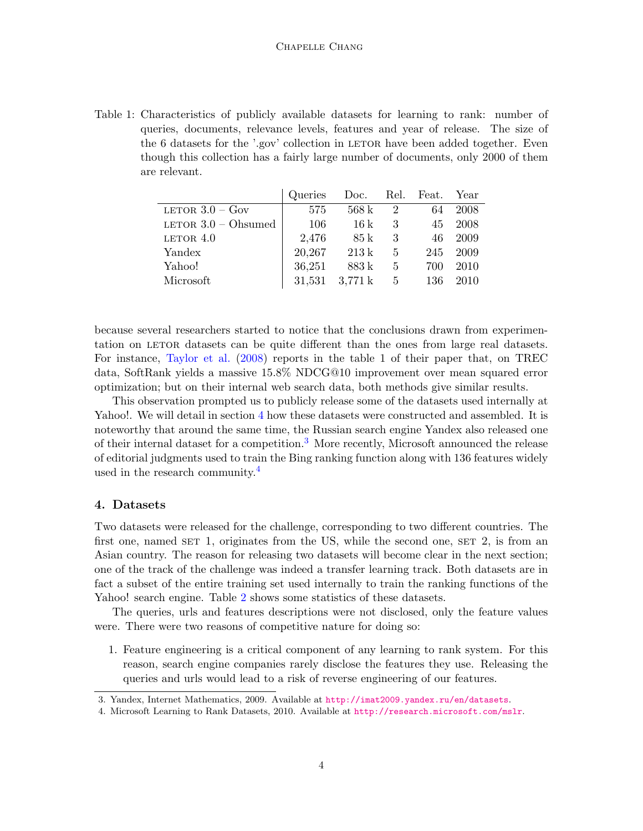<span id="page-3-1"></span>Table 1: Characteristics of publicly available datasets for learning to rank: number of queries, documents, relevance levels, features and year of release. The size of the 6 datasets for the '.gov' collection in LETOR have been added together. Even though this collection has a fairly large number of documents, only 2000 of them are relevant.

|                       | Queries | Doc.              |   | Rel. Feat. | Year |
|-----------------------|---------|-------------------|---|------------|------|
| LETOR $3.0 - Gov$     | 575     | 568k              | 2 | 64         | 2008 |
| LETOR $3.0$ – Ohsumed | 106     | 16k               | 3 | 45         | 2008 |
| LETOR $4.0$           | 2,476   | 85 k              | 3 | 46         | 2009 |
| Yandex                | 20,267  | 213k              | 5 | 245        | 2009 |
| Yahoo!                | 36,251  | 883 k             | 5 | 700        | 2010 |
| Microsoft             | 31,531  | $3,771 \text{ k}$ | 5 | 136        | 2010 |

because several researchers started to notice that the conclusions drawn from experimentation on LETOR datasets can be quite different than the ones from large real datasets. For instance, [Taylor et al.](#page-23-6) [\(2008\)](#page-23-6) reports in the table 1 of their paper that, on TREC data, SoftRank yields a massive 15.8% NDCG@10 improvement over mean squared error optimization; but on their internal web search data, both methods give similar results.

This observation prompted us to publicly release some of the datasets used internally at Yahoo!. We will detail in section [4](#page-3-0) how these datasets were constructed and assembled. It is noteworthy that around the same time, the Russian search engine Yandex also released one of their internal dataset for a competition.<sup>[3](#page-3-2)</sup> More recently, Microsoft announced the release of editorial judgments used to train the Bing ranking function along with 136 features widely used in the research community.<sup>[4](#page-3-3)</sup>

## <span id="page-3-0"></span>4. Datasets

Two datasets were released for the challenge, corresponding to two different countries. The first one, named  $SET$  1, originates from the US, while the second one,  $SET$  2, is from an Asian country. The reason for releasing two datasets will become clear in the next section; one of the track of the challenge was indeed a transfer learning track. Both datasets are in fact a subset of the entire training set used internally to train the ranking functions of the Yahoo! search engine. Table [2](#page-4-0) shows some statistics of these datasets.

The queries, urls and features descriptions were not disclosed, only the feature values were. There were two reasons of competitive nature for doing so:

1. Feature engineering is a critical component of any learning to rank system. For this reason, search engine companies rarely disclose the features they use. Releasing the queries and urls would lead to a risk of reverse engineering of our features.

<span id="page-3-2"></span><sup>3.</sup> Yandex, Internet Mathematics, 2009. Available at <http://imat2009.yandex.ru/en/datasets>.

<span id="page-3-3"></span><sup>4.</sup> Microsoft Learning to Rank Datasets, 2010. Available at <http://research.microsoft.com/mslr>.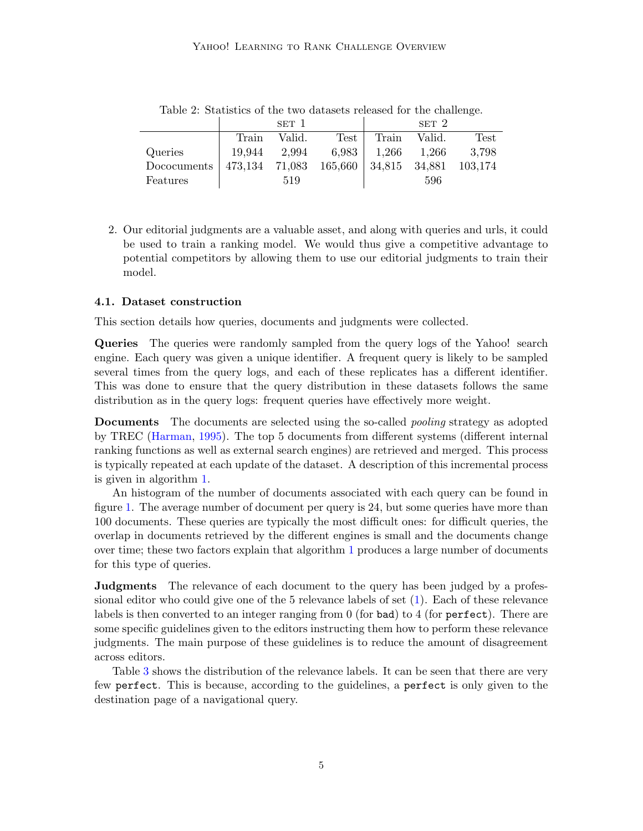<span id="page-4-0"></span>

|             |                                                | SET 1  |      |                       | SET <sub>2</sub> |       |
|-------------|------------------------------------------------|--------|------|-----------------------|------------------|-------|
|             | Train                                          | Valid. | Test | Train                 | Valid.           | Test  |
| Queries     | 19,944                                         | 2,994  |      | $6,983$   1,266 1,266 |                  | 3.798 |
| Dococuments | 473,134 71,083 165,660   34,815 34,881 103,174 |        |      |                       |                  |       |
| Features    |                                                | 519    |      |                       | 596              |       |

Table 2: Statistics of the two datasets released for the challenge.

2. Our editorial judgments are a valuable asset, and along with queries and urls, it could be used to train a ranking model. We would thus give a competitive advantage to potential competitors by allowing them to use our editorial judgments to train their model.

#### 4.1. Dataset construction

This section details how queries, documents and judgments were collected.

Queries The queries were randomly sampled from the query logs of the Yahoo! search engine. Each query was given a unique identifier. A frequent query is likely to be sampled several times from the query logs, and each of these replicates has a different identifier. This was done to ensure that the query distribution in these datasets follows the same distribution as in the query logs: frequent queries have effectively more weight.

Documents The documents are selected using the so-called pooling strategy as adopted by TREC [\(Harman,](#page-22-6) [1995\)](#page-22-6). The top 5 documents from different systems (different internal ranking functions as well as external search engines) are retrieved and merged. This process is typically repeated at each update of the dataset. A description of this incremental process is given in algorithm [1.](#page-5-0)

An histogram of the number of documents associated with each query can be found in figure [1.](#page-5-1) The average number of document per query is 24, but some queries have more than 100 documents. These queries are typically the most difficult ones: for difficult queries, the overlap in documents retrieved by the different engines is small and the documents change over time; these two factors explain that algorithm [1](#page-5-0) produces a large number of documents for this type of queries.

**Judgments** The relevance of each document to the query has been judged by a professional editor who could give one of the 5 relevance labels of set [\(1\)](#page-1-1). Each of these relevance labels is then converted to an integer ranging from 0 (for bad) to 4 (for perfect). There are some specific guidelines given to the editors instructing them how to perform these relevance judgments. The main purpose of these guidelines is to reduce the amount of disagreement across editors.

Table [3](#page-5-2) shows the distribution of the relevance labels. It can be seen that there are very few perfect. This is because, according to the guidelines, a perfect is only given to the destination page of a navigational query.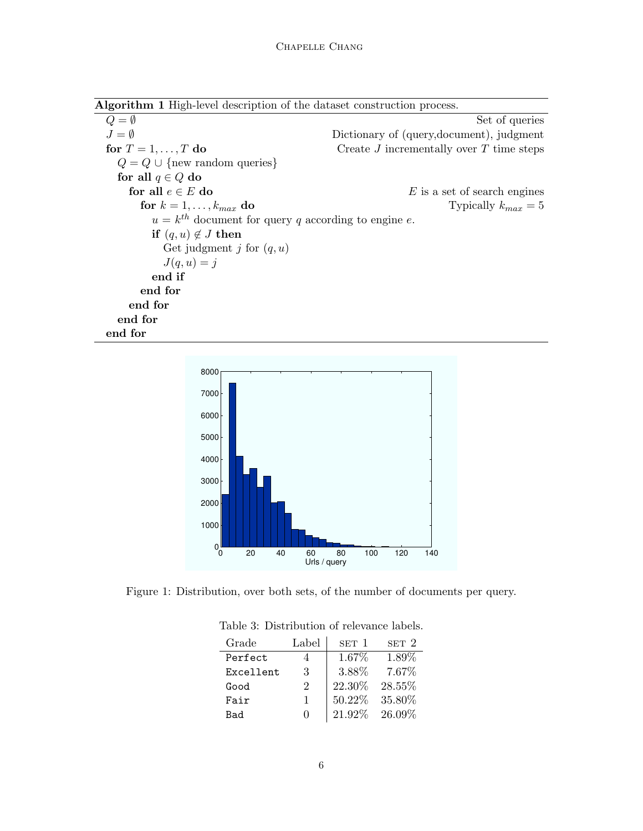Algorithm 1 High-level description of the dataset construction process.

<span id="page-5-0"></span> $Q = \emptyset$  Set of queries  $J = \emptyset$  Dictionary of (query,document), judgment for  $T = 1, ..., T$  do Create J incrementally over T time steps  $Q = Q \cup \{new random queries\}$ for all  $q \in Q$  do for all  $e \in E$  do E is a set of search engines for  $k = 1, ..., k_{max}$  do Typically  $k_{max} = 5$  $u = k^{th}$  document for query q according to engine e. if  $(q, u) \notin J$  then Get judgment *j* for  $(q, u)$  $J(q, u) = j$ end if end for end for end for end for



<span id="page-5-2"></span><span id="page-5-1"></span>Figure 1: Distribution, over both sets, of the number of documents per query.

| Grade     | Label | SET 1  | SET 2  |
|-----------|-------|--------|--------|
| Perfect   |       | 1.67%  | 1.89%  |
| Excellent | 3     | 3.88%  | 7.67%  |
| Good      | '2    | 22.30% | 28.55% |
| Fair      |       | 50.22% | 35.80% |
| Bad       |       | 21.92% | 26.09% |

Table 3: Distribution of relevance labels.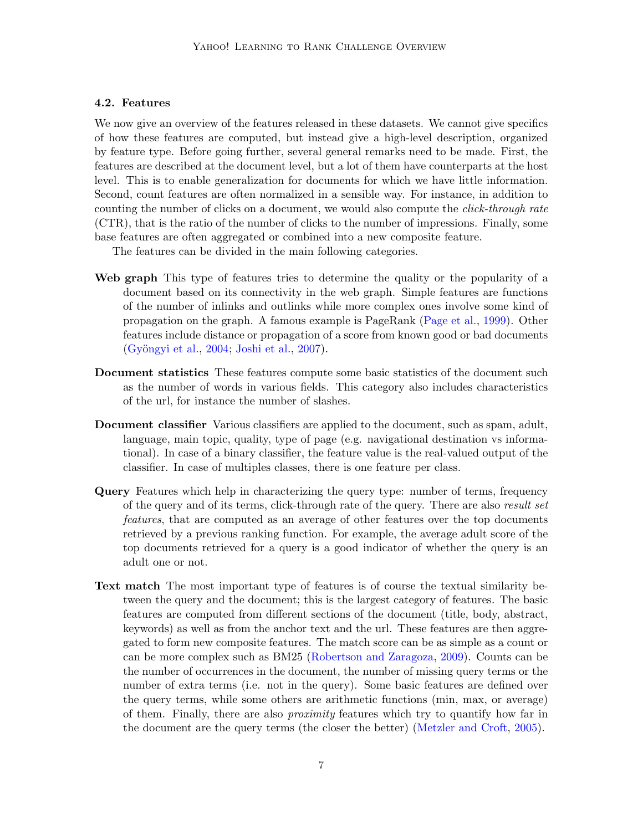## <span id="page-6-0"></span>4.2. Features

We now give an overview of the features released in these datasets. We cannot give specifics of how these features are computed, but instead give a high-level description, organized by feature type. Before going further, several general remarks need to be made. First, the features are described at the document level, but a lot of them have counterparts at the host level. This is to enable generalization for documents for which we have little information. Second, count features are often normalized in a sensible way. For instance, in addition to counting the number of clicks on a document, we would also compute the *click-through rate* (CTR), that is the ratio of the number of clicks to the number of impressions. Finally, some base features are often aggregated or combined into a new composite feature.

The features can be divided in the main following categories.

- Web graph This type of features tries to determine the quality or the popularity of a document based on its connectivity in the web graph. Simple features are functions of the number of inlinks and outlinks while more complex ones involve some kind of propagation on the graph. A famous example is PageRank [\(Page et al.,](#page-22-7) [1999\)](#page-22-7). Other features include distance or propagation of a score from known good or bad documents (Gyöngyi et al., [2004;](#page-21-2) [Joshi et al.,](#page-22-8) [2007\)](#page-22-8).
- Document statistics These features compute some basic statistics of the document such as the number of words in various fields. This category also includes characteristics of the url, for instance the number of slashes.
- Document classifier Various classifiers are applied to the document, such as spam, adult, language, main topic, quality, type of page (e.g. navigational destination vs informational). In case of a binary classifier, the feature value is the real-valued output of the classifier. In case of multiples classes, there is one feature per class.
- Query Features which help in characterizing the query type: number of terms, frequency of the query and of its terms, click-through rate of the query. There are also result set features, that are computed as an average of other features over the top documents retrieved by a previous ranking function. For example, the average adult score of the top documents retrieved for a query is a good indicator of whether the query is an adult one or not.
- Text match The most important type of features is of course the textual similarity between the query and the document; this is the largest category of features. The basic features are computed from different sections of the document (title, body, abstract, keywords) as well as from the anchor text and the url. These features are then aggregated to form new composite features. The match score can be as simple as a count or can be more complex such as BM25 [\(Robertson and Zaragoza,](#page-23-7) [2009\)](#page-23-7). Counts can be the number of occurrences in the document, the number of missing query terms or the number of extra terms (i.e. not in the query). Some basic features are defined over the query terms, while some others are arithmetic functions (min, max, or average) of them. Finally, there are also proximity features which try to quantify how far in the document are the query terms (the closer the better) [\(Metzler and Croft,](#page-22-9) [2005\)](#page-22-9).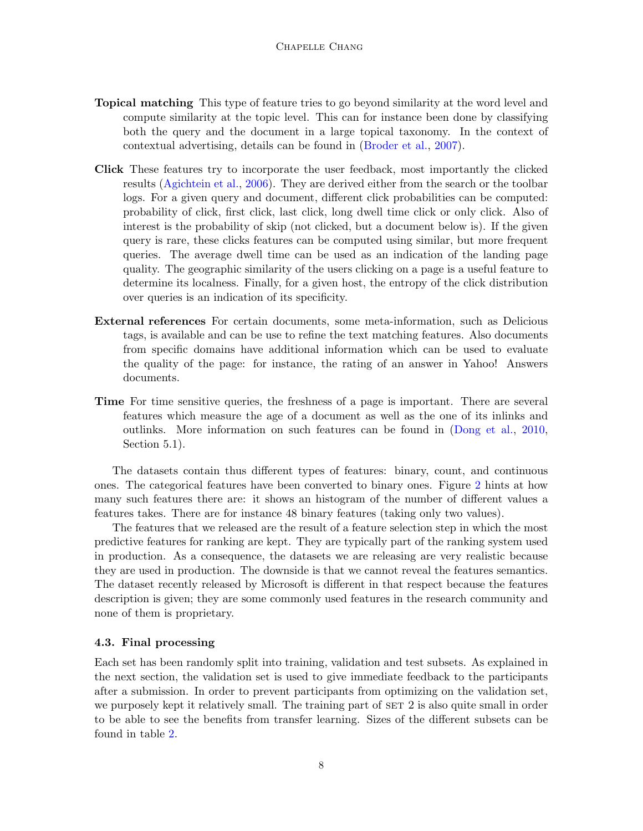- Topical matching This type of feature tries to go beyond similarity at the word level and compute similarity at the topic level. This can for instance been done by classifying both the query and the document in a large topical taxonomy. In the context of contextual advertising, details can be found in [\(Broder et al.,](#page-20-7) [2007\)](#page-20-7).
- Click These features try to incorporate the user feedback, most importantly the clicked results [\(Agichtein et al.,](#page-19-0) [2006\)](#page-19-0). They are derived either from the search or the toolbar logs. For a given query and document, different click probabilities can be computed: probability of click, first click, last click, long dwell time click or only click. Also of interest is the probability of skip (not clicked, but a document below is). If the given query is rare, these clicks features can be computed using similar, but more frequent queries. The average dwell time can be used as an indication of the landing page quality. The geographic similarity of the users clicking on a page is a useful feature to determine its localness. Finally, for a given host, the entropy of the click distribution over queries is an indication of its specificity.
- External references For certain documents, some meta-information, such as Delicious tags, is available and can be use to refine the text matching features. Also documents from specific domains have additional information which can be used to evaluate the quality of the page: for instance, the rating of an answer in Yahoo! Answers documents.
- Time For time sensitive queries, the freshness of a page is important. There are several features which measure the age of a document as well as the one of its inlinks and outlinks. More information on such features can be found in [\(Dong et al.,](#page-21-3) [2010,](#page-21-3) Section 5.1).

The datasets contain thus different types of features: binary, count, and continuous ones. The categorical features have been converted to binary ones. Figure [2](#page-8-0) hints at how many such features there are: it shows an histogram of the number of different values a features takes. There are for instance 48 binary features (taking only two values).

The features that we released are the result of a feature selection step in which the most predictive features for ranking are kept. They are typically part of the ranking system used in production. As a consequence, the datasets we are releasing are very realistic because they are used in production. The downside is that we cannot reveal the features semantics. The dataset recently released by Microsoft is different in that respect because the features description is given; they are some commonly used features in the research community and none of them is proprietary.

#### 4.3. Final processing

Each set has been randomly split into training, validation and test subsets. As explained in the next section, the validation set is used to give immediate feedback to the participants after a submission. In order to prevent participants from optimizing on the validation set, we purposely kept it relatively small. The training part of SET 2 is also quite small in order to be able to see the benefits from transfer learning. Sizes of the different subsets can be found in table [2.](#page-4-0)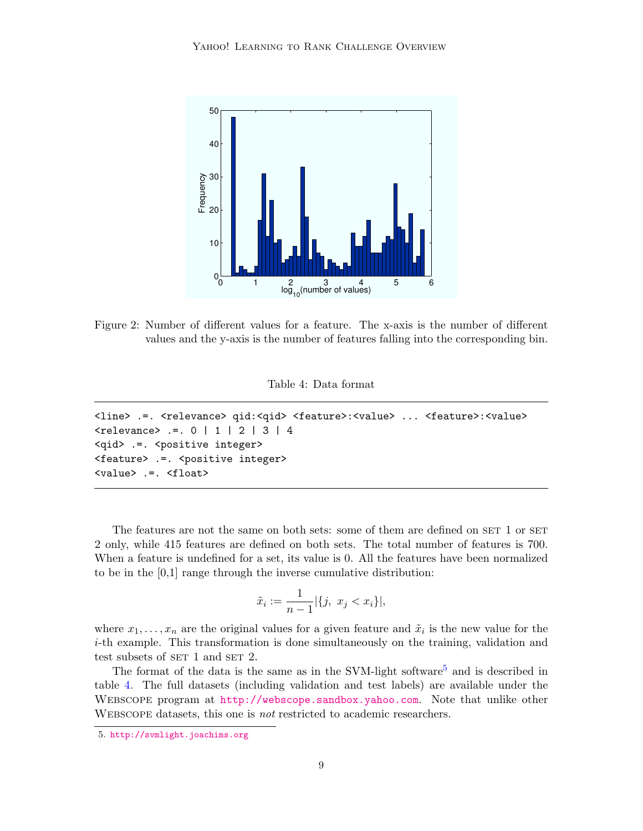

<span id="page-8-0"></span>Figure 2: Number of different values for a feature. The x-axis is the number of different values and the y-axis is the number of features falling into the corresponding bin.

Table 4: Data format

```
<line> .=. <relevance> qid:<qid> <feature>:<value> ... <feature>:<value>
\{>relevance> := . 0 | 1 | 2 | 3 | 4
<qid> .=. <positive integer>
<feature> .=. <positive integer>
<value> .=. <float>
```
The features are not the same on both sets: some of them are defined on SET 1 or SET 2 only, while 415 features are defined on both sets. The total number of features is 700. When a feature is undefined for a set, its value is 0. All the features have been normalized to be in the [0,1] range through the inverse cumulative distribution:

$$
\tilde{x}_i := \frac{1}{n-1} |\{j, \ x_j < x_i\}|,
$$

where  $x_1, \ldots, x_n$  are the original values for a given feature and  $\tilde{x}_i$  is the new value for the i-th example. This transformation is done simultaneously on the training, validation and test subsets of  $SET$  1 and  $SET$  2.

The format of the data is the same as in the SVM-light software<sup>[5](#page-8-1)</sup> and is described in table [4.](#page-8-2) The full datasets (including validation and test labels) are available under the Webscope program at <http://webscope.sandbox.yahoo.com>. Note that unlike other Webscope datasets, this one is not restricted to academic researchers.

<span id="page-8-1"></span><sup>5.</sup> <http://svmlight.joachims.org>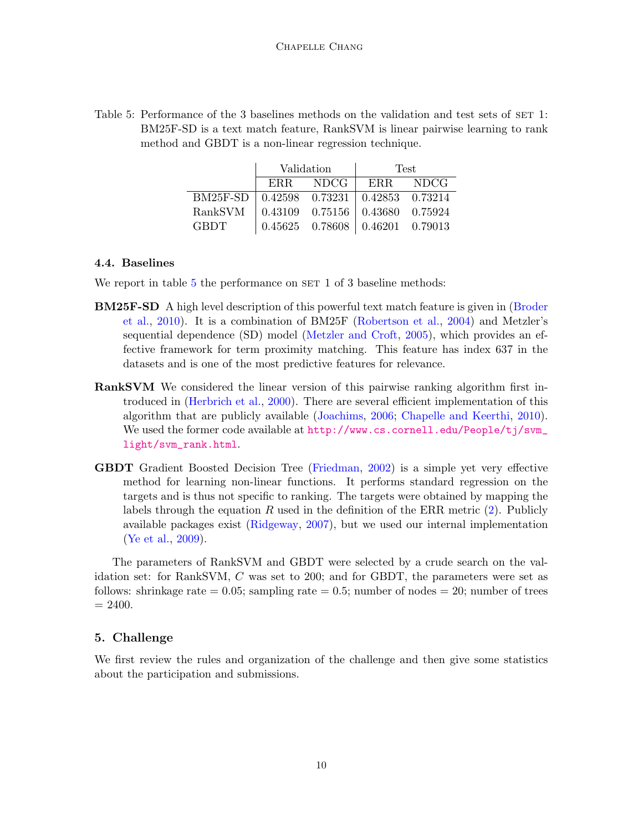<span id="page-9-1"></span>

| Table 5: Performance of the 3 baselines methods on the validation and test sets of SET 1: |
|-------------------------------------------------------------------------------------------|
| BM25F-SD is a text match feature, RankSVM is linear pairwise learning to rank             |
| method and GBDT is a non-linear regression technique.                                     |

|                                              | Validation |                                         | <b>Test</b> |       |  |
|----------------------------------------------|------------|-----------------------------------------|-------------|-------|--|
|                                              | ERR –      | NDCG-                                   | ERR.        | NDCG- |  |
| BM25F-SD   0.42598 0.73231   0.42853 0.73214 |            |                                         |             |       |  |
| RankSVM                                      |            | $0.43109$ $0.75156$ $0.43680$ $0.75924$ |             |       |  |
| GBDT.                                        |            | $0.45625$ $0.78608$   $0.46201$ 0.79013 |             |       |  |

## 4.4. Baselines

We report in table  $5$  the performance on  $SET$  1 of 3 baseline methods:

- BM25F-SD A high level description of this powerful text match feature is given in [\(Broder](#page-20-8) [et al.,](#page-20-8) [2010\)](#page-20-8). It is a combination of BM25F [\(Robertson et al.,](#page-23-8) [2004\)](#page-23-8) and Metzler's sequential dependence (SD) model [\(Metzler and Croft,](#page-22-9) [2005\)](#page-22-9), which provides an effective framework for term proximity matching. This feature has index 637 in the datasets and is one of the most predictive features for relevance.
- RankSVM We considered the linear version of this pairwise ranking algorithm first introduced in [\(Herbrich et al.,](#page-22-3) [2000\)](#page-22-3). There are several efficient implementation of this algorithm that are publicly available [\(Joachims,](#page-22-10) [2006;](#page-22-10) [Chapelle and Keerthi,](#page-20-9) [2010\)](#page-20-9). We used the former code available at [http://www.cs.cornell.edu/People/tj/svm\\_](http://www.cs.cornell.edu/People/tj/svm_light/svm_rank.html) [light/svm\\_rank.html](http://www.cs.cornell.edu/People/tj/svm_light/svm_rank.html).
- GBDT Gradient Boosted Decision Tree [\(Friedman,](#page-21-4) [2002\)](#page-21-4) is a simple yet very effective method for learning non-linear functions. It performs standard regression on the targets and is thus not specific to ranking. The targets were obtained by mapping the labels through the equation R used in the definition of the ERR metric  $(2)$ . Publicly available packages exist [\(Ridgeway,](#page-23-9) [2007\)](#page-23-9), but we used our internal implementation [\(Ye et al.,](#page-23-10) [2009\)](#page-23-10).

The parameters of RankSVM and GBDT were selected by a crude search on the validation set: for RankSVM, C was set to 200; and for GBDT, the parameters were set as follows: shrinkage rate  $= 0.05$ ; sampling rate  $= 0.5$ ; number of nodes  $= 20$ ; number of trees  $= 2400.$ 

# <span id="page-9-0"></span>5. Challenge

We first review the rules and organization of the challenge and then give some statistics about the participation and submissions.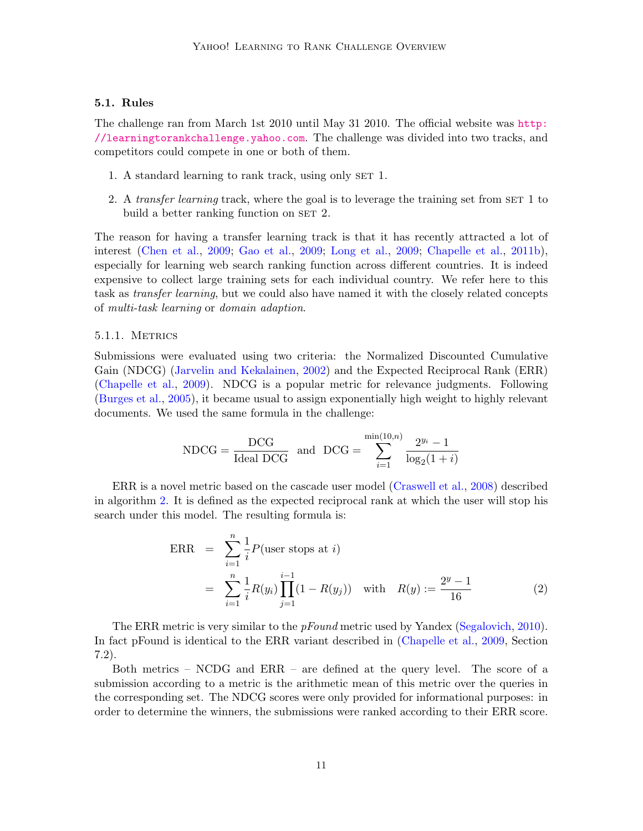# 5.1. Rules

The challenge ran from March 1st 2010 until May 31 2010. The official website was [http:](http://learningtorankchallenge.yahoo.com) [//learningtorankchallenge.yahoo.com](http://learningtorankchallenge.yahoo.com). The challenge was divided into two tracks, and competitors could compete in one or both of them.

- 1. A standard learning to rank track, using only SET 1.
- 2. A transfer learning track, where the goal is to leverage the training set from SET 1 to build a better ranking function on SET 2.

The reason for having a transfer learning track is that it has recently attracted a lot of interest [\(Chen et al.,](#page-21-5) [2009;](#page-21-5) [Gao et al.,](#page-21-6) [2009;](#page-21-6) [Long et al.,](#page-22-11) [2009;](#page-22-11) [Chapelle et al.,](#page-21-7) [2011b\)](#page-21-7), especially for learning web search ranking function across different countries. It is indeed expensive to collect large training sets for each individual country. We refer here to this task as *transfer learning*, but we could also have named it with the closely related concepts of multi-task learning or domain adaption.

#### 5.1.1. Metrics

Submissions were evaluated using two criteria: the Normalized Discounted Cumulative Gain (NDCG) [\(Jarvelin and Kekalainen,](#page-22-1) [2002\)](#page-22-1) and the Expected Reciprocal Rank (ERR) [\(Chapelle et al.,](#page-20-10) [2009\)](#page-20-10). NDCG is a popular metric for relevance judgments. Following [\(Burges et al.,](#page-20-0) [2005\)](#page-20-0), it became usual to assign exponentially high weight to highly relevant documents. We used the same formula in the challenge:

$$
NDCG = \frac{DCG}{Ideal\ DCG} \quad \text{and} \quad DCG = \sum_{i=1}^{\min(10,n)} \frac{2^{y_i} - 1}{\log_2(1+i)}
$$

ERR is a novel metric based on the cascade user model [\(Craswell et al.,](#page-21-8) [2008\)](#page-21-8) described in algorithm [2.](#page-11-0) It is defined as the expected reciprocal rank at which the user will stop his search under this model. The resulting formula is:

<span id="page-10-0"></span>
$$
\begin{aligned}\n\text{ERR} &= \sum_{i=1}^{n} \frac{1}{i} P(\text{user stops at } i) \\
&= \sum_{i=1}^{n} \frac{1}{i} R(y_i) \prod_{j=1}^{i-1} (1 - R(y_j)) \quad \text{with} \quad R(y) := \frac{2^y - 1}{16} \tag{2}\n\end{aligned}
$$

The ERR metric is very similar to the *pFound* metric used by Yandex [\(Segalovich,](#page-23-11) [2010\)](#page-23-11). In fact pFound is identical to the ERR variant described in [\(Chapelle et al.,](#page-20-10) [2009,](#page-20-10) Section 7.2).

Both metrics – NCDG and ERR – are defined at the query level. The score of a submission according to a metric is the arithmetic mean of this metric over the queries in the corresponding set. The NDCG scores were only provided for informational purposes: in order to determine the winners, the submissions were ranked according to their ERR score.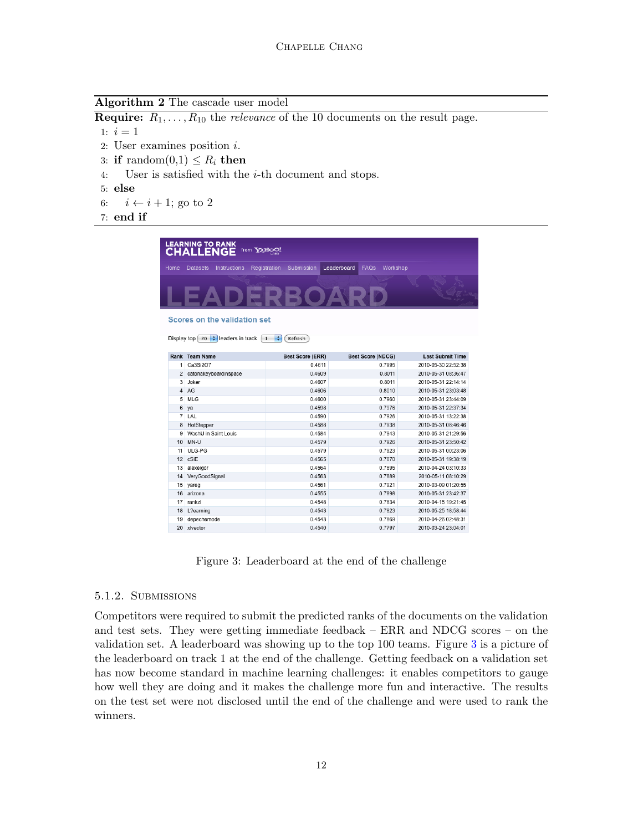Algorithm 2 The cascade user model

**Require:**  $R_1, \ldots, R_{10}$  the *relevance* of the 10 documents on the result page. 1:  $i = 1$ 

- 2: User examines position i.
- 3: if random $(0,1) \leq R_i$  then
- 4: User is satisfied with the i-th document and stops.
- 5: else
- 6:  $i \leftarrow i + 1$ ; go to 2
- <span id="page-11-0"></span>7: end if

|                | <b>LEARNING TO RANK</b><br><b>CHALLENGE</b>                                                  | from YAHOO!                  |                                        |                         |
|----------------|----------------------------------------------------------------------------------------------|------------------------------|----------------------------------------|-------------------------|
| Home           | <b>Datasets</b><br>Instructions                                                              | Registration<br>Submission   | Leaderboard<br><b>FAQs</b><br>Workshop |                         |
|                |                                                                                              |                              |                                        |                         |
|                | Scores on the validation set<br>Display top $\left(20 + \frac{1}{2}\right)$ leaders in track | ÷<br>Refresh<br>$\mathbf{1}$ |                                        |                         |
|                | Rank Team Name                                                                               | <b>Best Score (ERR)</b>      | <b>Best Score (NDCG)</b>               | <b>Last Submit Time</b> |
| 1              | Ca3Si2O7                                                                                     | 0.4611                       | 0.7995                                 | 2010-05-30 22:52:38     |
| $\overline{2}$ | catonakeyboardinspace                                                                        | 0.4609                       | 0.8011                                 | 2010-05-31 08:36:47     |
| 3              | Joker                                                                                        | 0.4607                       | 0.8011                                 | 2010-05-31 22:14:14     |
| $\overline{4}$ | AG                                                                                           | 0.4606                       | 0.8010                                 | 2010-05-31 23:03:48     |
| 5              | MLG                                                                                          | 0.4600                       | 0.7960                                 | 2010-05-31 23:44:09     |
| 6              | ya                                                                                           | 0.4598                       | 0.7976                                 | 2010-05-31 22:37:34     |
| $\overline{7}$ | LAL                                                                                          | 0.4590                       | 0.7926                                 | 2010-05-31 13:22:38     |
| 8              | HotStepper                                                                                   | 0.4588                       | 0.7938                                 | 2010-05-31 08:46:46     |
| 9              | WashU in Saint Louis                                                                         | 0.4584                       | 0.7943                                 | 2010-05-31 21:29:56     |
| 10             | MN-U                                                                                         | 0.4579                       | 0.7926                                 | 2010-05-31 23:50:42     |
| 11             | ULG-PG                                                                                       | 0.4579                       | 0.7923                                 | 2010-05-31 00:23:06     |
| 12             | cSiE                                                                                         | 0.4565                       | 0.7870                                 | 2010-05-31 19:38:19     |
| 13             | alexeigor                                                                                    | 0.4564                       | 0.7895                                 | 2010-04-24 03:10:33     |
| 14             | VeryGoodSignal                                                                               | 0.4563                       | 0.7889                                 | 2010-05-11 08:10:29     |
| 15             | yareg                                                                                        | 0.4561                       | 0.7921                                 | 2010-03-09 01:20:55     |
| 16             | arizona                                                                                      | 0.4555                       | 0.7898                                 | 2010-05-31 23:42:37     |
| 17             | rankzl                                                                                       | 0.4548                       | 0.7834                                 | 2010-04-15 19:21:45     |
|                | L?earning                                                                                    | 0.4543                       | 0.7823                                 | 2010-05-25 18:58:44     |
| 18             |                                                                                              |                              |                                        |                         |
| 19             | depechemode                                                                                  | 0.4543                       | 0.7869                                 | 2010-04-26 02:48:31     |

<span id="page-11-1"></span>Figure 3: Leaderboard at the end of the challenge

# 5.1.2. Submissions

Competitors were required to submit the predicted ranks of the documents on the validation and test sets. They were getting immediate feedback – ERR and NDCG scores – on the validation set. A leaderboard was showing up to the top 100 teams. Figure [3](#page-11-1) is a picture of the leaderboard on track 1 at the end of the challenge. Getting feedback on a validation set has now become standard in machine learning challenges: it enables competitors to gauge how well they are doing and it makes the challenge more fun and interactive. The results on the test set were not disclosed until the end of the challenge and were used to rank the winners.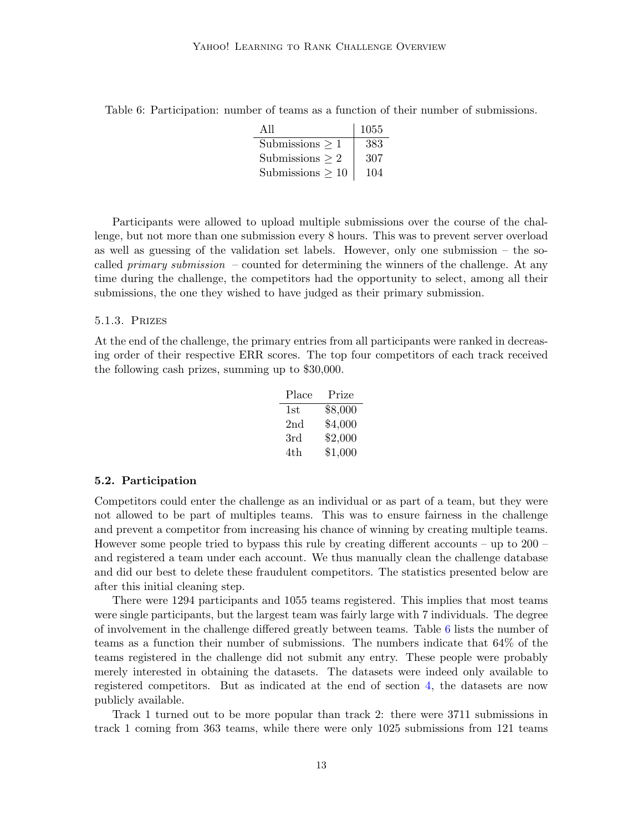| All                   | 1055 |
|-----------------------|------|
| Submissions $\geq 1$  | 383  |
| Submissions $> 2$     | 307  |
| Submissions $\geq 10$ | 104  |

<span id="page-12-0"></span>Table 6: Participation: number of teams as a function of their number of submissions.

Participants were allowed to upload multiple submissions over the course of the challenge, but not more than one submission every 8 hours. This was to prevent server overload as well as guessing of the validation set labels. However, only one submission – the socalled *primary submission* – counted for determining the winners of the challenge. At any time during the challenge, the competitors had the opportunity to select, among all their submissions, the one they wished to have judged as their primary submission.

### 5.1.3. Prizes

At the end of the challenge, the primary entries from all participants were ranked in decreasing order of their respective ERR scores. The top four competitors of each track received the following cash prizes, summing up to \$30,000.

| Place           | Prize   |
|-----------------|---------|
| 1st             | \$8,000 |
| 2 <sub>nd</sub> | \$4,000 |
| 3rd             | \$2,000 |
| 4th             | \$1,000 |

#### 5.2. Participation

Competitors could enter the challenge as an individual or as part of a team, but they were not allowed to be part of multiples teams. This was to ensure fairness in the challenge and prevent a competitor from increasing his chance of winning by creating multiple teams. However some people tried to bypass this rule by creating different accounts – up to 200 – and registered a team under each account. We thus manually clean the challenge database and did our best to delete these fraudulent competitors. The statistics presented below are after this initial cleaning step.

There were 1294 participants and 1055 teams registered. This implies that most teams were single participants, but the largest team was fairly large with 7 individuals. The degree of involvement in the challenge differed greatly between teams. Table [6](#page-12-0) lists the number of teams as a function their number of submissions. The numbers indicate that 64% of the teams registered in the challenge did not submit any entry. These people were probably merely interested in obtaining the datasets. The datasets were indeed only available to registered competitors. But as indicated at the end of section [4,](#page-3-0) the datasets are now publicly available.

Track 1 turned out to be more popular than track 2: there were 3711 submissions in track 1 coming from 363 teams, while there were only 1025 submissions from 121 teams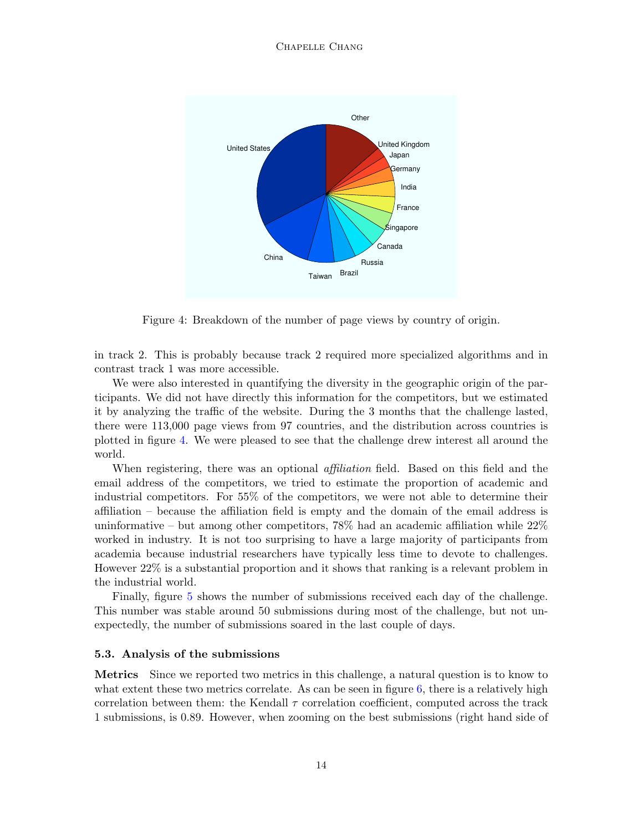#### Chapelle Chang



<span id="page-13-0"></span>Figure 4: Breakdown of the number of page views by country of origin.

in track 2. This is probably because track 2 required more specialized algorithms and in contrast track 1 was more accessible.

We were also interested in quantifying the diversity in the geographic origin of the participants. We did not have directly this information for the competitors, but we estimated it by analyzing the traffic of the website. During the 3 months that the challenge lasted, there were 113,000 page views from 97 countries, and the distribution across countries is plotted in figure [4.](#page-13-0) We were pleased to see that the challenge drew interest all around the world.

When registering, there was an optional *affiliation* field. Based on this field and the email address of the competitors, we tried to estimate the proportion of academic and industrial competitors. For 55% of the competitors, we were not able to determine their affiliation – because the affiliation field is empty and the domain of the email address is uninformative – but among other competitors, 78% had an academic affiliation while 22% worked in industry. It is not too surprising to have a large majority of participants from academia because industrial researchers have typically less time to devote to challenges. However 22% is a substantial proportion and it shows that ranking is a relevant problem in the industrial world.

Finally, figure [5](#page-14-0) shows the number of submissions received each day of the challenge. This number was stable around 50 submissions during most of the challenge, but not unexpectedly, the number of submissions soared in the last couple of days.

#### 5.3. Analysis of the submissions

Metrics Since we reported two metrics in this challenge, a natural question is to know to what extent these two metrics correlate. As can be seen in figure [6,](#page-14-1) there is a relatively high correlation between them: the Kendall  $\tau$  correlation coefficient, computed across the track 1 submissions, is 0.89. However, when zooming on the best submissions (right hand side of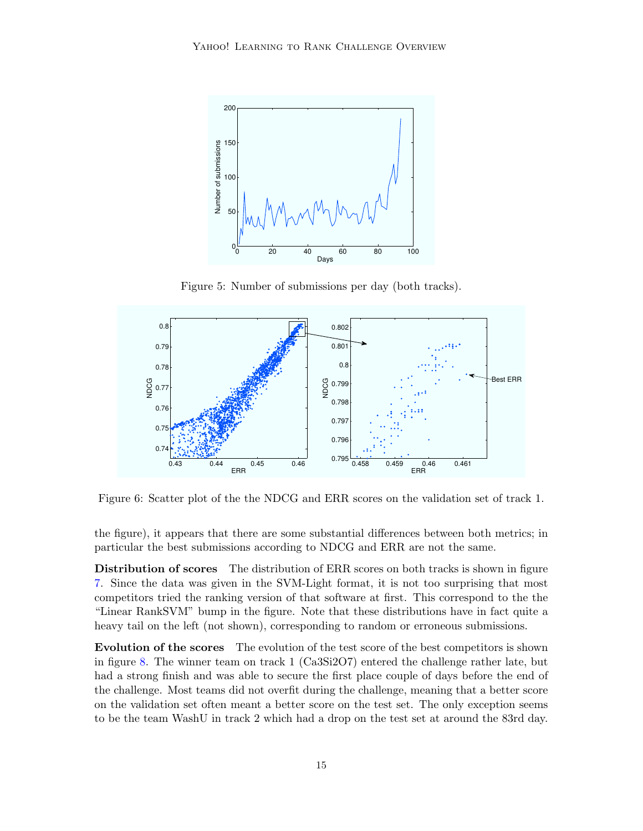

Figure 5: Number of submissions per day (both tracks).

<span id="page-14-0"></span>

<span id="page-14-1"></span>Figure 6: Scatter plot of the the NDCG and ERR scores on the validation set of track 1.

the figure), it appears that there are some substantial differences between both metrics; in particular the best submissions according to NDCG and ERR are not the same.

Distribution of scores The distribution of ERR scores on both tracks is shown in figure [7.](#page-15-0) Since the data was given in the SVM-Light format, it is not too surprising that most competitors tried the ranking version of that software at first. This correspond to the the "Linear RankSVM" bump in the figure. Note that these distributions have in fact quite a heavy tail on the left (not shown), corresponding to random or erroneous submissions.

Evolution of the scores The evolution of the test score of the best competitors is shown in figure [8.](#page-15-1) The winner team on track 1 (Ca3Si2O7) entered the challenge rather late, but had a strong finish and was able to secure the first place couple of days before the end of the challenge. Most teams did not overfit during the challenge, meaning that a better score on the validation set often meant a better score on the test set. The only exception seems to be the team WashU in track 2 which had a drop on the test set at around the 83rd day.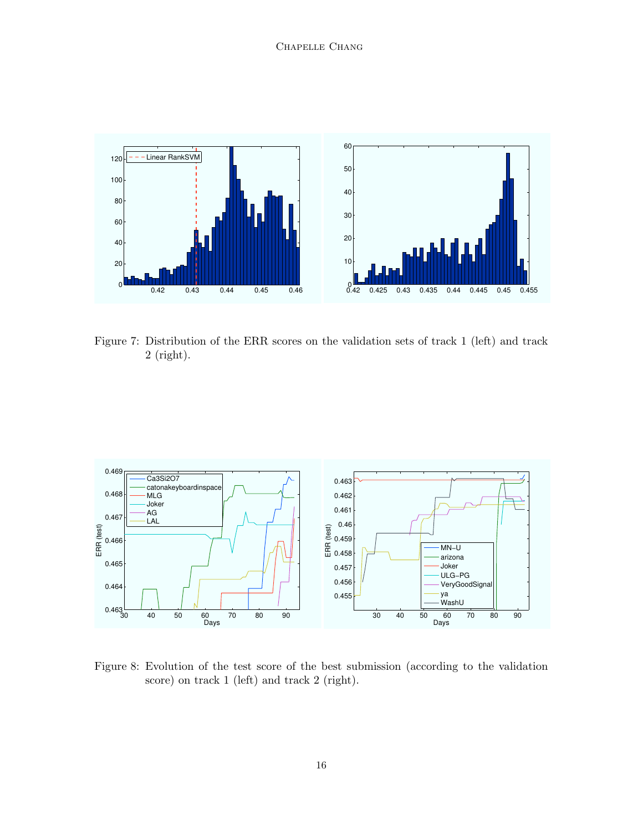

<span id="page-15-0"></span>Figure 7: Distribution of the ERR scores on the validation sets of track 1 (left) and track 2 (right).



<span id="page-15-1"></span>Figure 8: Evolution of the test score of the best submission (according to the validation score) on track 1 (left) and track 2 (right).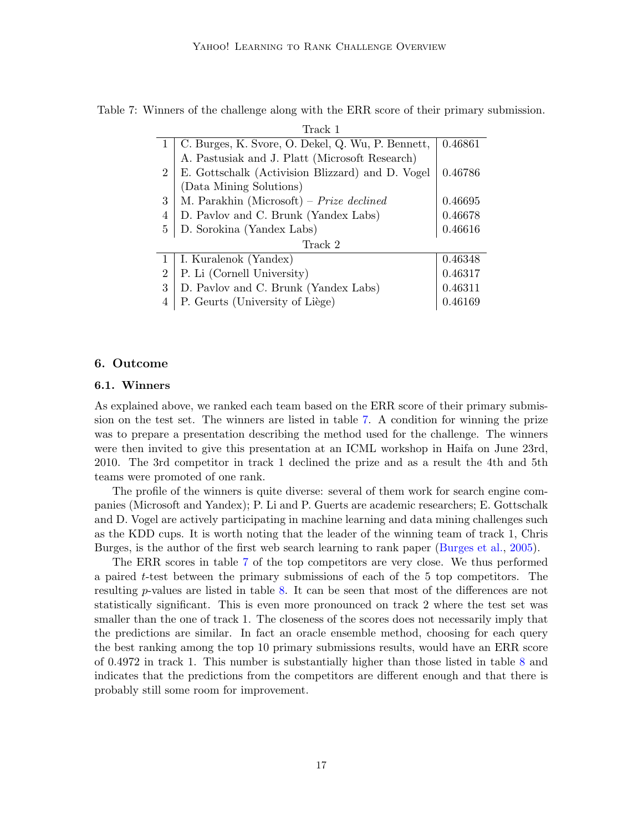| Track I        |                                                   |         |  |  |  |  |
|----------------|---------------------------------------------------|---------|--|--|--|--|
|                | C. Burges, K. Svore, O. Dekel, Q. Wu, P. Bennett, | 0.46861 |  |  |  |  |
|                | A. Pastusiak and J. Platt (Microsoft Research)    |         |  |  |  |  |
| $\overline{2}$ | E. Gottschalk (Activision Blizzard) and D. Vogel  | 0.46786 |  |  |  |  |
|                | (Data Mining Solutions)                           |         |  |  |  |  |
| 3              | M. Parakhin (Microsoft) – Prize declined          | 0.46695 |  |  |  |  |
| 4              | D. Pavlov and C. Brunk (Yandex Labs)              | 0.46678 |  |  |  |  |
| 5              | D. Sorokina (Yandex Labs)                         | 0.46616 |  |  |  |  |
|                | Track 2                                           |         |  |  |  |  |
| 1              | I. Kuralenok (Yandex)                             | 0.46348 |  |  |  |  |
| $\overline{2}$ | P. Li (Cornell University)                        | 0.46317 |  |  |  |  |
| 3              | D. Pavlov and C. Brunk (Yandex Labs)              | 0.46311 |  |  |  |  |
| 4              | P. Geurts (University of Liège)                   | 0.46169 |  |  |  |  |

<span id="page-16-1"></span>Table 7: Winners of the challenge along with the ERR score of their primary submission.  $T<sub>1</sub>$  1

# <span id="page-16-0"></span>6. Outcome

# 6.1. Winners

As explained above, we ranked each team based on the ERR score of their primary submission on the test set. The winners are listed in table [7.](#page-16-1) A condition for winning the prize was to prepare a presentation describing the method used for the challenge. The winners were then invited to give this presentation at an ICML workshop in Haifa on June 23rd, 2010. The 3rd competitor in track 1 declined the prize and as a result the 4th and 5th teams were promoted of one rank.

The profile of the winners is quite diverse: several of them work for search engine companies (Microsoft and Yandex); P. Li and P. Guerts are academic researchers; E. Gottschalk and D. Vogel are actively participating in machine learning and data mining challenges such as the KDD cups. It is worth noting that the leader of the winning team of track 1, Chris Burges, is the author of the first web search learning to rank paper [\(Burges et al.,](#page-20-0) [2005\)](#page-20-0).

The ERR scores in table [7](#page-16-1) of the top competitors are very close. We thus performed a paired t-test between the primary submissions of each of the 5 top competitors. The resulting p-values are listed in table [8.](#page-17-0) It can be seen that most of the differences are not statistically significant. This is even more pronounced on track 2 where the test set was smaller than the one of track 1. The closeness of the scores does not necessarily imply that the predictions are similar. In fact an oracle ensemble method, choosing for each query the best ranking among the top 10 primary submissions results, would have an ERR score of 0.4972 in track 1. This number is substantially higher than those listed in table [8](#page-17-0) and indicates that the predictions from the competitors are different enough and that there is probably still some room for improvement.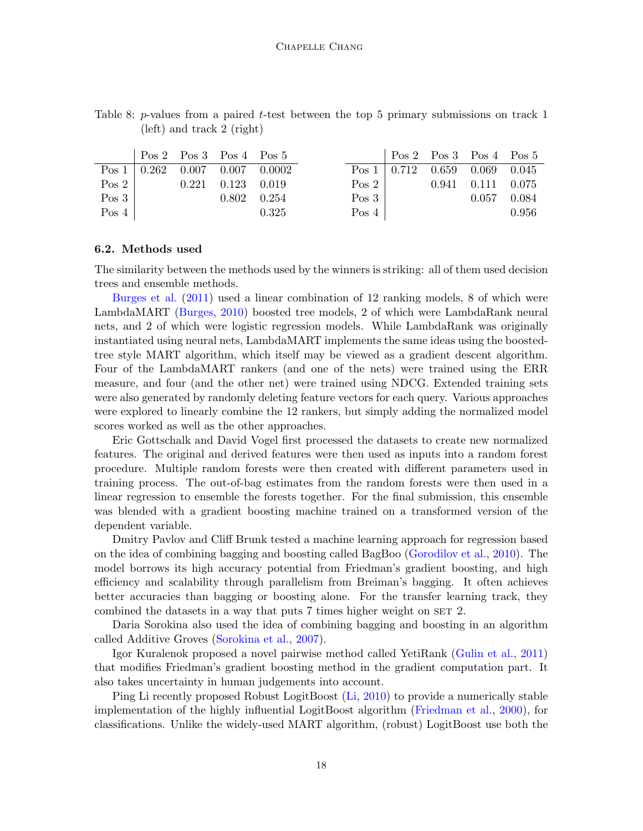|       |  | $Pos 2 \tPos 3 \tPos 4 \tPos 5$                                   |                                                                 |       |  | $\sqrt{P}$ Pos 2 Pos 3 Pos 4 Pos 5                                            |       |
|-------|--|-------------------------------------------------------------------|-----------------------------------------------------------------|-------|--|-------------------------------------------------------------------------------|-------|
|       |  |                                                                   | $\text{Pos } 1 \mid 0.262 \quad 0.007 \quad 0.007 \quad 0.0002$ |       |  | Pos 1   0.712 0.659 0.069 0.045                                               |       |
|       |  | $\begin{bmatrix} \n\cos 2 & 0.221 & 0.123 & 0.019\n\end{bmatrix}$ |                                                                 |       |  | $\begin{bmatrix} \n\text{Pos } 2 &   & 0.941 & 0.111 & 0.075 \n\end{bmatrix}$ |       |
| Pos 3 |  | $0.802 \quad 0.254$                                               |                                                                 | Pos 3 |  | 0.057 0.084                                                                   |       |
| Pos 4 |  |                                                                   | 0.325                                                           | Pos 4 |  |                                                                               | 0.956 |

<span id="page-17-0"></span>Table 8: p-values from a paired t-test between the top 5 primary submissions on track 1 (left) and track 2 (right)

#### 6.2. Methods used

The similarity between the methods used by the winners is striking: all of them used decision trees and ensemble methods.

[Burges et al.](#page-20-11) [\(2011\)](#page-20-11) used a linear combination of 12 ranking models, 8 of which were LambdaMART [\(Burges,](#page-20-3) [2010\)](#page-20-3) boosted tree models, 2 of which were LambdaRank neural nets, and 2 of which were logistic regression models. While LambdaRank was originally instantiated using neural nets, LambdaMART implements the same ideas using the boostedtree style MART algorithm, which itself may be viewed as a gradient descent algorithm. Four of the LambdaMART rankers (and one of the nets) were trained using the ERR measure, and four (and the other net) were trained using NDCG. Extended training sets were also generated by randomly deleting feature vectors for each query. Various approaches were explored to linearly combine the 12 rankers, but simply adding the normalized model scores worked as well as the other approaches.

Eric Gottschalk and David Vogel first processed the datasets to create new normalized features. The original and derived features were then used as inputs into a random forest procedure. Multiple random forests were then created with different parameters used in training process. The out-of-bag estimates from the random forests were then used in a linear regression to ensemble the forests together. For the final submission, this ensemble was blended with a gradient boosting machine trained on a transformed version of the dependent variable.

Dmitry Pavlov and Cliff Brunk tested a machine learning approach for regression based on the idea of combining bagging and boosting called BagBoo [\(Gorodilov et al.,](#page-21-9) [2010\)](#page-21-9). The model borrows its high accuracy potential from Friedman's gradient boosting, and high efficiency and scalability through parallelism from Breiman's bagging. It often achieves better accuracies than bagging or boosting alone. For the transfer learning track, they combined the datasets in a way that puts 7 times higher weight on SET 2.

Daria Sorokina also used the idea of combining bagging and boosting in an algorithm called Additive Groves [\(Sorokina et al.,](#page-23-12) [2007\)](#page-23-12).

Igor Kuralenok proposed a novel pairwise method called YetiRank [\(Gulin et al.,](#page-21-10) [2011\)](#page-21-10) that modifies Friedman's gradient boosting method in the gradient computation part. It also takes uncertainty in human judgements into account.

Ping Li recently proposed Robust LogitBoost [\(Li,](#page-22-12) [2010\)](#page-22-12) to provide a numerically stable implementation of the highly influential LogitBoost algorithm [\(Friedman et al.,](#page-21-11) [2000\)](#page-21-11), for classifications. Unlike the widely-used MART algorithm, (robust) LogitBoost use both the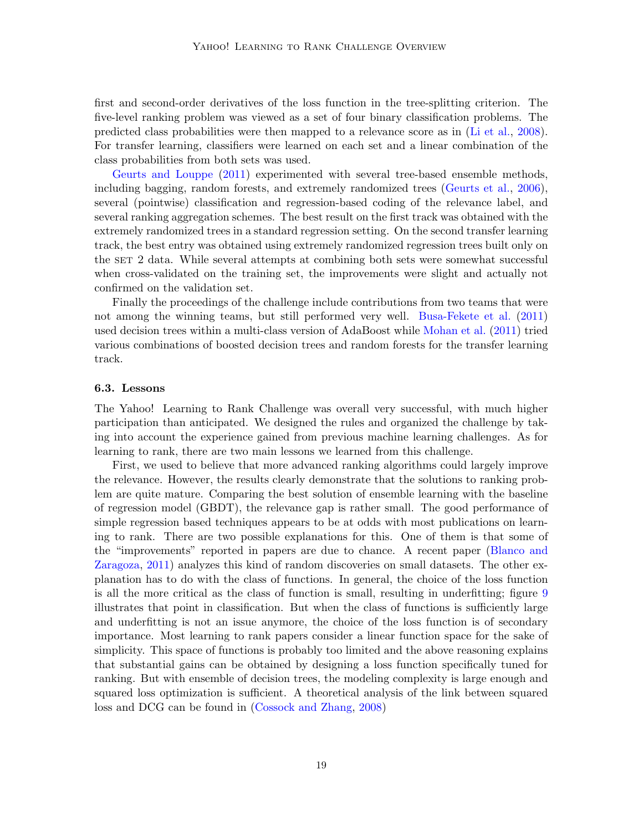first and second-order derivatives of the loss function in the tree-splitting criterion. The five-level ranking problem was viewed as a set of four binary classification problems. The predicted class probabilities were then mapped to a relevance score as in [\(Li et al.,](#page-22-2) [2008\)](#page-22-2). For transfer learning, classifiers were learned on each set and a linear combination of the class probabilities from both sets was used.

[Geurts and Louppe](#page-21-12) [\(2011\)](#page-21-12) experimented with several tree-based ensemble methods, including bagging, random forests, and extremely randomized trees [\(Geurts et al.,](#page-21-13) [2006\)](#page-21-13), several (pointwise) classification and regression-based coding of the relevance label, and several ranking aggregation schemes. The best result on the first track was obtained with the extremely randomized trees in a standard regression setting. On the second transfer learning track, the best entry was obtained using extremely randomized regression trees built only on the set 2 data. While several attempts at combining both sets were somewhat successful when cross-validated on the training set, the improvements were slight and actually not confirmed on the validation set.

Finally the proceedings of the challenge include contributions from two teams that were not among the winning teams, but still performed very well. [Busa-Fekete et al.](#page-20-12) [\(2011\)](#page-20-12) used decision trees within a multi-class version of AdaBoost while [Mohan et al.](#page-22-13) [\(2011\)](#page-22-13) tried various combinations of boosted decision trees and random forests for the transfer learning track.

## 6.3. Lessons

The Yahoo! Learning to Rank Challenge was overall very successful, with much higher participation than anticipated. We designed the rules and organized the challenge by taking into account the experience gained from previous machine learning challenges. As for learning to rank, there are two main lessons we learned from this challenge.

First, we used to believe that more advanced ranking algorithms could largely improve the relevance. However, the results clearly demonstrate that the solutions to ranking problem are quite mature. Comparing the best solution of ensemble learning with the baseline of regression model (GBDT), the relevance gap is rather small. The good performance of simple regression based techniques appears to be at odds with most publications on learning to rank. There are two possible explanations for this. One of them is that some of the "improvements" reported in papers are due to chance. A recent paper [\(Blanco and](#page-20-13) [Zaragoza,](#page-20-13) [2011\)](#page-20-13) analyzes this kind of random discoveries on small datasets. The other explanation has to do with the class of functions. In general, the choice of the loss function is all the more critical as the class of function is small, resulting in underfitting; figure [9](#page-19-1) illustrates that point in classification. But when the class of functions is sufficiently large and underfitting is not an issue anymore, the choice of the loss function is of secondary importance. Most learning to rank papers consider a linear function space for the sake of simplicity. This space of functions is probably too limited and the above reasoning explains that substantial gains can be obtained by designing a loss function specifically tuned for ranking. But with ensemble of decision trees, the modeling complexity is large enough and squared loss optimization is sufficient. A theoretical analysis of the link between squared loss and DCG can be found in [\(Cossock and Zhang,](#page-21-1) [2008\)](#page-21-1)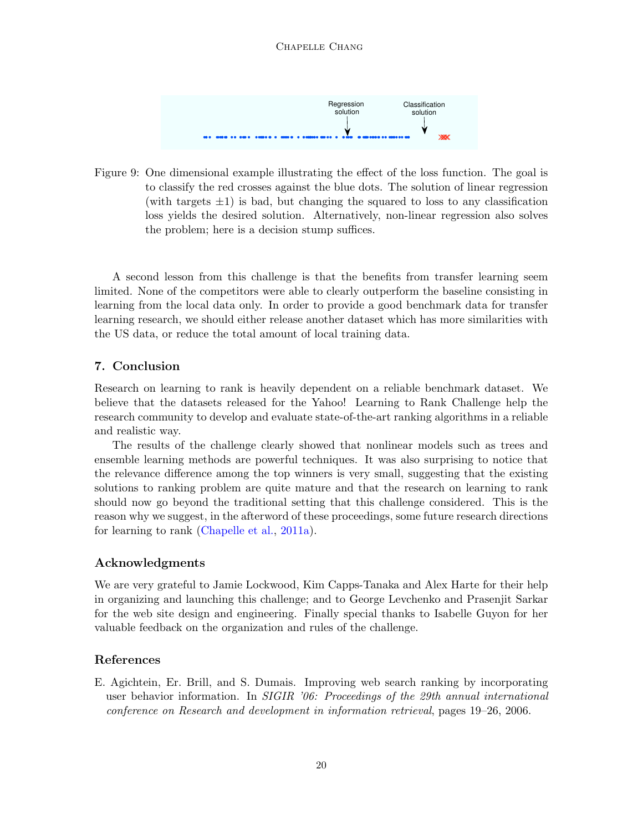#### <span id="page-19-1"></span>Chapelle Chang



Figure 9: One dimensional example illustrating the effect of the loss function. The goal is to classify the red crosses against the blue dots. The solution of linear regression (with targets  $\pm 1$ ) is bad, but changing the squared to loss to any classification loss yields the desired solution. Alternatively, non-linear regression also solves the problem; here is a decision stump suffices.

A second lesson from this challenge is that the benefits from transfer learning seem limited. None of the competitors were able to clearly outperform the baseline consisting in learning from the local data only. In order to provide a good benchmark data for transfer learning research, we should either release another dataset which has more similarities with the US data, or reduce the total amount of local training data.

# 7. Conclusion

Research on learning to rank is heavily dependent on a reliable benchmark dataset. We believe that the datasets released for the Yahoo! Learning to Rank Challenge help the research community to develop and evaluate state-of-the-art ranking algorithms in a reliable and realistic way.

The results of the challenge clearly showed that nonlinear models such as trees and ensemble learning methods are powerful techniques. It was also surprising to notice that the relevance difference among the top winners is very small, suggesting that the existing solutions to ranking problem are quite mature and that the research on learning to rank should now go beyond the traditional setting that this challenge considered. This is the reason why we suggest, in the afterword of these proceedings, some future research directions for learning to rank [\(Chapelle et al.,](#page-21-14) [2011a\)](#page-21-14).

# Acknowledgments

We are very grateful to Jamie Lockwood, Kim Capps-Tanaka and Alex Harte for their help in organizing and launching this challenge; and to George Levchenko and Prasenjit Sarkar for the web site design and engineering. Finally special thanks to Isabelle Guyon for her valuable feedback on the organization and rules of the challenge.

## References

<span id="page-19-0"></span>E. Agichtein, Er. Brill, and S. Dumais. Improving web search ranking by incorporating user behavior information. In *SIGIR '06: Proceedings of the 29th annual international* conference on Research and development in information retrieval, pages 19–26, 2006.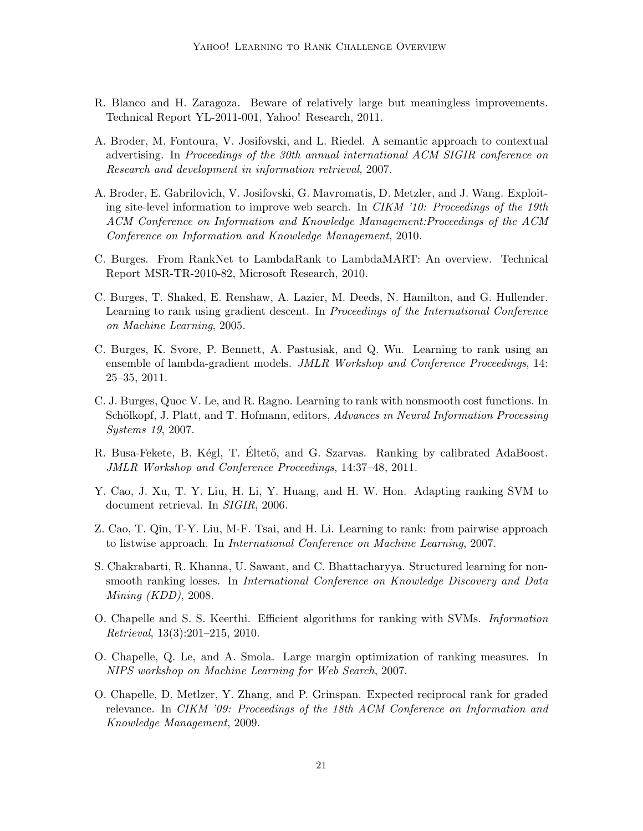- <span id="page-20-13"></span>R. Blanco and H. Zaragoza. Beware of relatively large but meaningless improvements. Technical Report YL-2011-001, Yahoo! Research, 2011.
- <span id="page-20-7"></span>A. Broder, M. Fontoura, V. Josifovski, and L. Riedel. A semantic approach to contextual advertising. In Proceedings of the 30th annual international ACM SIGIR conference on Research and development in information retrieval, 2007.
- <span id="page-20-8"></span>A. Broder, E. Gabrilovich, V. Josifovski, G. Mavromatis, D. Metzler, and J. Wang. Exploiting site-level information to improve web search. In CIKM '10: Proceedings of the 19th ACM Conference on Information and Knowledge Management:Proceedings of the ACM Conference on Information and Knowledge Management, 2010.
- <span id="page-20-3"></span>C. Burges. From RankNet to LambdaRank to LambdaMART: An overview. Technical Report MSR-TR-2010-82, Microsoft Research, 2010.
- <span id="page-20-0"></span>C. Burges, T. Shaked, E. Renshaw, A. Lazier, M. Deeds, N. Hamilton, and G. Hullender. Learning to rank using gradient descent. In Proceedings of the International Conference on Machine Learning, 2005.
- <span id="page-20-11"></span>C. Burges, K. Svore, P. Bennett, A. Pastusiak, and Q. Wu. Learning to rank using an ensemble of lambda-gradient models. JMLR Workshop and Conference Proceedings, 14: 25–35, 2011.
- <span id="page-20-4"></span>C. J. Burges, Quoc V. Le, and R. Ragno. Learning to rank with nonsmooth cost functions. In Schölkopf, J. Platt, and T. Hofmann, editors, Advances in Neural Information Processing Systems 19, 2007.
- <span id="page-20-12"></span>R. Busa-Fekete, B. Kégl, T. Éltető, and G. Szarvas. Ranking by calibrated AdaBoost. JMLR Workshop and Conference Proceedings, 14:37–48, 2011.
- <span id="page-20-1"></span>Y. Cao, J. Xu, T. Y. Liu, H. Li, Y. Huang, and H. W. Hon. Adapting ranking SVM to document retrieval. In SIGIR, 2006.
- <span id="page-20-2"></span>Z. Cao, T. Qin, T-Y. Liu, M-F. Tsai, and H. Li. Learning to rank: from pairwise approach to listwise approach. In International Conference on Machine Learning, 2007.
- <span id="page-20-6"></span>S. Chakrabarti, R. Khanna, U. Sawant, and C. Bhattacharyya. Structured learning for nonsmooth ranking losses. In International Conference on Knowledge Discovery and Data Mining (KDD), 2008.
- <span id="page-20-9"></span>O. Chapelle and S. S. Keerthi. Efficient algorithms for ranking with SVMs. Information Retrieval, 13(3):201–215, 2010.
- <span id="page-20-5"></span>O. Chapelle, Q. Le, and A. Smola. Large margin optimization of ranking measures. In NIPS workshop on Machine Learning for Web Search, 2007.
- <span id="page-20-10"></span>O. Chapelle, D. Metlzer, Y. Zhang, and P. Grinspan. Expected reciprocal rank for graded relevance. In CIKM '09: Proceedings of the 18th ACM Conference on Information and Knowledge Management, 2009.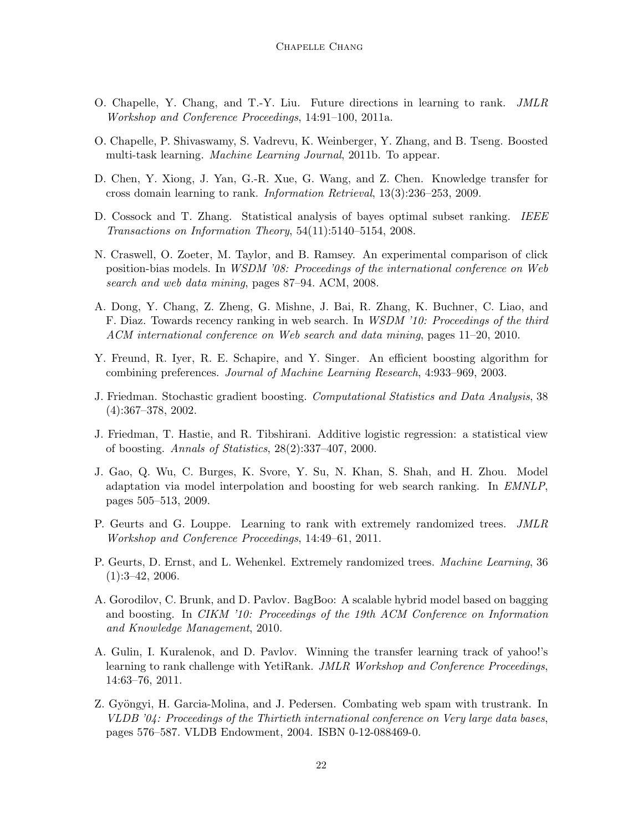- <span id="page-21-14"></span>O. Chapelle, Y. Chang, and T.-Y. Liu. Future directions in learning to rank. JMLR Workshop and Conference Proceedings, 14:91–100, 2011a.
- <span id="page-21-7"></span>O. Chapelle, P. Shivaswamy, S. Vadrevu, K. Weinberger, Y. Zhang, and B. Tseng. Boosted multi-task learning. Machine Learning Journal, 2011b. To appear.
- <span id="page-21-5"></span>D. Chen, Y. Xiong, J. Yan, G.-R. Xue, G. Wang, and Z. Chen. Knowledge transfer for cross domain learning to rank. Information Retrieval, 13(3):236–253, 2009.
- <span id="page-21-1"></span>D. Cossock and T. Zhang. Statistical analysis of bayes optimal subset ranking. IEEE Transactions on Information Theory, 54(11):5140–5154, 2008.
- <span id="page-21-8"></span>N. Craswell, O. Zoeter, M. Taylor, and B. Ramsey. An experimental comparison of click position-bias models. In WSDM '08: Proceedings of the international conference on Web search and web data mining, pages 87–94. ACM, 2008.
- <span id="page-21-3"></span>A. Dong, Y. Chang, Z. Zheng, G. Mishne, J. Bai, R. Zhang, K. Buchner, C. Liao, and F. Diaz. Towards recency ranking in web search. In WSDM '10: Proceedings of the third ACM international conference on Web search and data mining, pages 11–20, 2010.
- <span id="page-21-0"></span>Y. Freund, R. Iyer, R. E. Schapire, and Y. Singer. An efficient boosting algorithm for combining preferences. Journal of Machine Learning Research, 4:933–969, 2003.
- <span id="page-21-4"></span>J. Friedman. Stochastic gradient boosting. Computational Statistics and Data Analysis, 38 (4):367–378, 2002.
- <span id="page-21-11"></span>J. Friedman, T. Hastie, and R. Tibshirani. Additive logistic regression: a statistical view of boosting. Annals of Statistics, 28(2):337–407, 2000.
- <span id="page-21-6"></span>J. Gao, Q. Wu, C. Burges, K. Svore, Y. Su, N. Khan, S. Shah, and H. Zhou. Model adaptation via model interpolation and boosting for web search ranking. In EMNLP, pages 505–513, 2009.
- <span id="page-21-12"></span>P. Geurts and G. Louppe. Learning to rank with extremely randomized trees. JMLR Workshop and Conference Proceedings, 14:49–61, 2011.
- <span id="page-21-13"></span>P. Geurts, D. Ernst, and L. Wehenkel. Extremely randomized trees. Machine Learning, 36 (1):3–42, 2006.
- <span id="page-21-9"></span>A. Gorodilov, C. Brunk, and D. Pavlov. BagBoo: A scalable hybrid model based on bagging and boosting. In CIKM '10: Proceedings of the 19th ACM Conference on Information and Knowledge Management, 2010.
- <span id="page-21-10"></span>A. Gulin, I. Kuralenok, and D. Pavlov. Winning the transfer learning track of yahoo!'s learning to rank challenge with YetiRank. JMLR Workshop and Conference Proceedings, 14:63–76, 2011.
- <span id="page-21-2"></span>Z. Gyöngyi, H. Garcia-Molina, and J. Pedersen. Combating web spam with trustrank. In VLDB '04: Proceedings of the Thirtieth international conference on Very large data bases, pages 576–587. VLDB Endowment, 2004. ISBN 0-12-088469-0.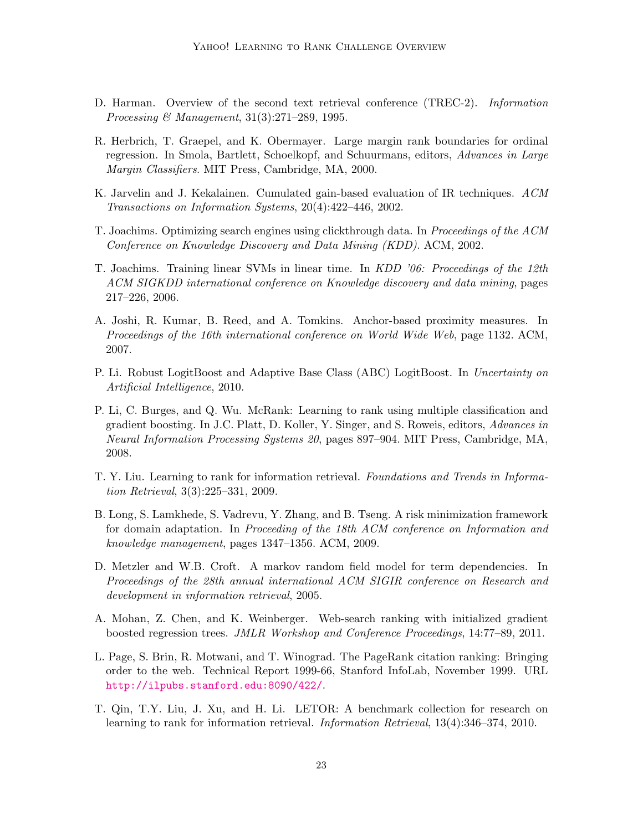- <span id="page-22-6"></span>D. Harman. Overview of the second text retrieval conference (TREC-2). Information Processing & Management, 31(3):271–289, 1995.
- <span id="page-22-3"></span>R. Herbrich, T. Graepel, and K. Obermayer. Large margin rank boundaries for ordinal regression. In Smola, Bartlett, Schoelkopf, and Schuurmans, editors, Advances in Large Margin Classifiers. MIT Press, Cambridge, MA, 2000.
- <span id="page-22-1"></span>K. Jarvelin and J. Kekalainen. Cumulated gain-based evaluation of IR techniques. ACM Transactions on Information Systems, 20(4):422–446, 2002.
- <span id="page-22-4"></span>T. Joachims. Optimizing search engines using clickthrough data. In Proceedings of the ACM Conference on Knowledge Discovery and Data Mining (KDD). ACM, 2002.
- <span id="page-22-10"></span>T. Joachims. Training linear SVMs in linear time. In KDD '06: Proceedings of the 12th ACM SIGKDD international conference on Knowledge discovery and data mining, pages 217–226, 2006.
- <span id="page-22-8"></span>A. Joshi, R. Kumar, B. Reed, and A. Tomkins. Anchor-based proximity measures. In Proceedings of the 16th international conference on World Wide Web, page 1132. ACM, 2007.
- <span id="page-22-12"></span>P. Li. Robust LogitBoost and Adaptive Base Class (ABC) LogitBoost. In Uncertainty on Artificial Intelligence, 2010.
- <span id="page-22-2"></span>P. Li, C. Burges, and Q. Wu. McRank: Learning to rank using multiple classification and gradient boosting. In J.C. Platt, D. Koller, Y. Singer, and S. Roweis, editors, Advances in Neural Information Processing Systems 20, pages 897–904. MIT Press, Cambridge, MA, 2008.
- <span id="page-22-0"></span>T. Y. Liu. Learning to rank for information retrieval. Foundations and Trends in Information Retrieval, 3(3):225–331, 2009.
- <span id="page-22-11"></span>B. Long, S. Lamkhede, S. Vadrevu, Y. Zhang, and B. Tseng. A risk minimization framework for domain adaptation. In Proceeding of the 18th ACM conference on Information and knowledge management, pages 1347–1356. ACM, 2009.
- <span id="page-22-9"></span>D. Metzler and W.B. Croft. A markov random field model for term dependencies. In Proceedings of the 28th annual international ACM SIGIR conference on Research and development in information retrieval, 2005.
- <span id="page-22-13"></span>A. Mohan, Z. Chen, and K. Weinberger. Web-search ranking with initialized gradient boosted regression trees. JMLR Workshop and Conference Proceedings, 14:77–89, 2011.
- <span id="page-22-7"></span>L. Page, S. Brin, R. Motwani, and T. Winograd. The PageRank citation ranking: Bringing order to the web. Technical Report 1999-66, Stanford InfoLab, November 1999. URL <http://ilpubs.stanford.edu:8090/422/>.
- <span id="page-22-5"></span>T. Qin, T.Y. Liu, J. Xu, and H. Li. LETOR: A benchmark collection for research on learning to rank for information retrieval. Information Retrieval, 13(4):346–374, 2010.